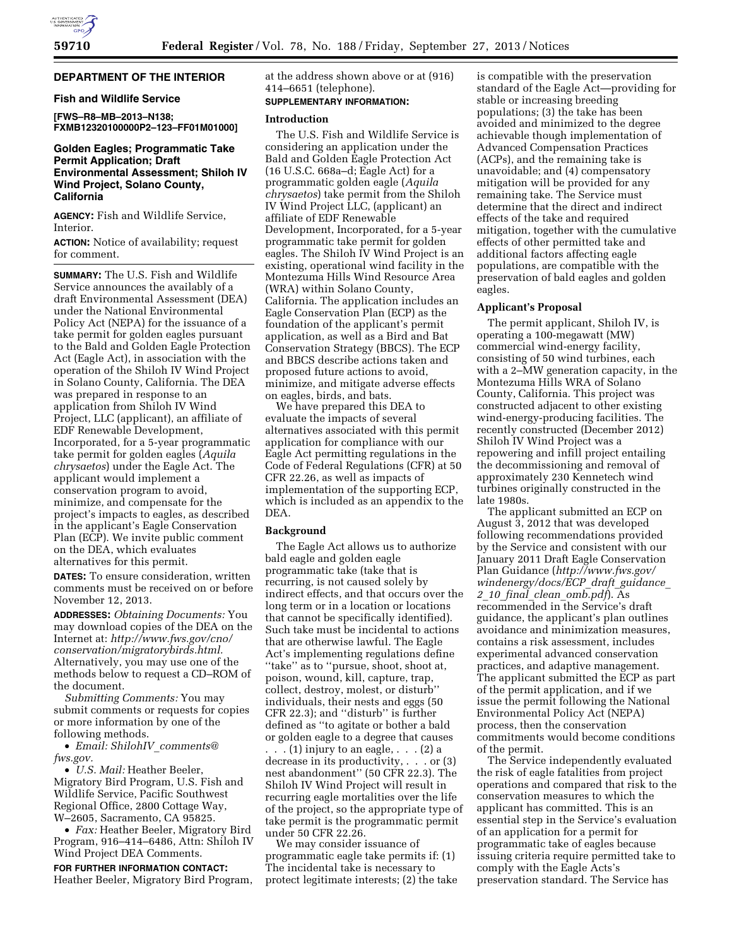

# **DEPARTMENT OF THE INTERIOR**

## **Fish and Wildlife Service**

**[FWS–R8–MB–2013–N138; FXMB12320100000P2–123–FF01M01000]** 

# **Golden Eagles; Programmatic Take Permit Application; Draft Environmental Assessment; Shiloh IV Wind Project, Solano County, California**

**AGENCY:** Fish and Wildlife Service, **Interior** 

**ACTION:** Notice of availability; request for comment.

**SUMMARY:** The U.S. Fish and Wildlife Service announces the availably of a draft Environmental Assessment (DEA) under the National Environmental Policy Act (NEPA) for the issuance of a take permit for golden eagles pursuant to the Bald and Golden Eagle Protection Act (Eagle Act), in association with the operation of the Shiloh IV Wind Project in Solano County, California. The DEA was prepared in response to an application from Shiloh IV Wind Project, LLC (applicant), an affiliate of EDF Renewable Development, Incorporated, for a 5-year programmatic take permit for golden eagles (*Aquila chrysaetos*) under the Eagle Act. The applicant would implement a conservation program to avoid, minimize, and compensate for the project's impacts to eagles, as described in the applicant's Eagle Conservation Plan (ECP). We invite public comment on the DEA, which evaluates alternatives for this permit.

**DATES:** To ensure consideration, written comments must be received on or before November 12, 2013.

**ADDRESSES:** *Obtaining Documents:* You may download copies of the DEA on the Internet at: *[http://www.fws.gov/cno/](http://www.fws.gov/cno/conservation/migratorybirds.html) [conservation/migratorybirds.html.](http://www.fws.gov/cno/conservation/migratorybirds.html)*  Alternatively, you may use one of the methods below to request a CD–ROM of the document.

*Submitting Comments:* You may submit comments or requests for copies or more information by one of the following methods.

• *Email: ShilohIV*\_*[comments@](mailto:ShilohIV_comments@fws.gov) [fws.gov.](mailto:ShilohIV_comments@fws.gov)* 

• *U.S. Mail:* Heather Beeler, Migratory Bird Program, U.S. Fish and Wildlife Service, Pacific Southwest Regional Office, 2800 Cottage Way, W–2605, Sacramento, CA 95825.

• *Fax:* Heather Beeler, Migratory Bird Program, 916–414–6486, Attn: Shiloh IV Wind Project DEA Comments.

**FOR FURTHER INFORMATION CONTACT:**  Heather Beeler, Migratory Bird Program, at the address shown above or at (916) 414–6651 (telephone).

# **SUPPLEMENTARY INFORMATION:**

### **Introduction**

The U.S. Fish and Wildlife Service is considering an application under the Bald and Golden Eagle Protection Act (16 U.S.C. 668a–d; Eagle Act) for a programmatic golden eagle (*Aquila chrysaetos*) take permit from the Shiloh IV Wind Project LLC, (applicant) an affiliate of EDF Renewable Development, Incorporated, for a 5-year programmatic take permit for golden eagles. The Shiloh IV Wind Project is an existing, operational wind facility in the Montezuma Hills Wind Resource Area (WRA) within Solano County, California. The application includes an Eagle Conservation Plan (ECP) as the foundation of the applicant's permit application, as well as a Bird and Bat Conservation Strategy (BBCS). The ECP and BBCS describe actions taken and proposed future actions to avoid, minimize, and mitigate adverse effects on eagles, birds, and bats.

We have prepared this DEA to evaluate the impacts of several alternatives associated with this permit application for compliance with our Eagle Act permitting regulations in the Code of Federal Regulations (CFR) at 50 CFR 22.26, as well as impacts of implementation of the supporting ECP, which is included as an appendix to the DEA.

#### **Background**

The Eagle Act allows us to authorize bald eagle and golden eagle programmatic take (take that is recurring, is not caused solely by indirect effects, and that occurs over the long term or in a location or locations that cannot be specifically identified). Such take must be incidental to actions that are otherwise lawful. The Eagle Act's implementing regulations define ''take'' as to ''pursue, shoot, shoot at, poison, wound, kill, capture, trap, collect, destroy, molest, or disturb'' individuals, their nests and eggs (50 CFR 22.3); and ''disturb'' is further defined as ''to agitate or bother a bald or golden eagle to a degree that causes

. . . (1) injury to an eagle, . . . (2) a decrease in its productivity, . . . or (3) nest abandonment'' (50 CFR 22.3). The Shiloh IV Wind Project will result in recurring eagle mortalities over the life of the project, so the appropriate type of take permit is the programmatic permit under 50 CFR 22.26.

We may consider issuance of programmatic eagle take permits if: (1) The incidental take is necessary to protect legitimate interests; (2) the take is compatible with the preservation standard of the Eagle Act—providing for stable or increasing breeding populations; (3) the take has been avoided and minimized to the degree achievable though implementation of Advanced Compensation Practices (ACPs), and the remaining take is unavoidable; and (4) compensatory mitigation will be provided for any remaining take. The Service must determine that the direct and indirect effects of the take and required mitigation, together with the cumulative effects of other permitted take and additional factors affecting eagle populations, are compatible with the preservation of bald eagles and golden eagles.

#### **Applicant's Proposal**

The permit applicant, Shiloh IV, is operating a 100-megawatt (MW) commercial wind-energy facility, consisting of 50 wind turbines, each with a 2–MW generation capacity, in the Montezuma Hills WRA of Solano County, California. This project was constructed adjacent to other existing wind-energy-producing facilities. The recently constructed (December 2012) Shiloh IV Wind Project was a repowering and infill project entailing the decommissioning and removal of approximately 230 Kennetech wind turbines originally constructed in the late 1980s.

The applicant submitted an ECP on August 3, 2012 that was developed following recommendations provided by the Service and consistent with our January 2011 Draft Eagle Conservation Plan Guidance (*[http://www.fws.gov/](http://www.fws.gov/windenergy/docs/ECP_draft_guidance_2_10_final_clean_omb.pdf) [windenergy/docs/ECP](http://www.fws.gov/windenergy/docs/ECP_draft_guidance_2_10_final_clean_omb.pdf)*\_*draft*\_*guidance*\_ *2*\_*10*\_*final*\_*clean*\_*[omb.pdf](http://www.fws.gov/windenergy/docs/ECP_draft_guidance_2_10_final_clean_omb.pdf)*). As recommended in the Service's draft guidance, the applicant's plan outlines avoidance and minimization measures, contains a risk assessment, includes experimental advanced conservation practices, and adaptive management. The applicant submitted the ECP as part of the permit application, and if we issue the permit following the National Environmental Policy Act (NEPA) process, then the conservation commitments would become conditions of the permit.

The Service independently evaluated the risk of eagle fatalities from project operations and compared that risk to the conservation measures to which the applicant has committed. This is an essential step in the Service's evaluation of an application for a permit for programmatic take of eagles because issuing criteria require permitted take to comply with the Eagle Acts's preservation standard. The Service has